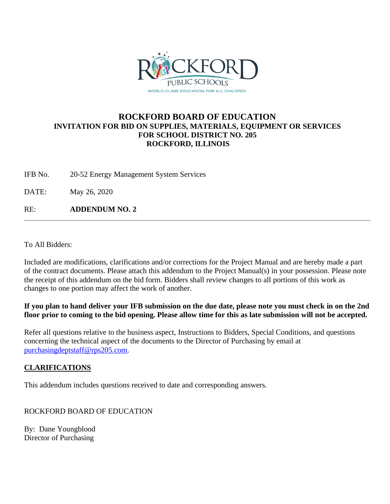

## **ROCKFORD BOARD OF EDUCATION INVITATION FOR BID ON SUPPLIES, MATERIALS, EQUIPMENT OR SERVICES FOR SCHOOL DISTRICT NO. 205 ROCKFORD, ILLINOIS**

IFB No. 20-52 Energy Management System Services

DATE: May 26, 2020

RE: **ADDENDUM NO. 2**

To All Bidders:

Included are modifications, clarifications and/or corrections for the Project Manual and are hereby made a part of the contract documents. Please attach this addendum to the Project Manual(s) in your possession. Please note the receipt of this addendum on the bid form. Bidders shall review changes to all portions of this work as changes to one portion may affect the work of another.

## **If you plan to hand deliver your IFB submission on the due date, please note you must check in on the 2nd floor prior to coming to the bid opening. Please allow time for this as late submission will not be accepted.**

Refer all questions relative to the business aspect, Instructions to Bidders, Special Conditions, and questions concerning the technical aspect of the documents to the Director of Purchasing by email at [purchasingdeptstaff@rps205.com.](mailto:purchasingdeptstaff@rps205.com)

## **CLARIFICATIONS**

This addendum includes questions received to date and corresponding answers.

ROCKFORD BOARD OF EDUCATION

By: Dane Youngblood Director of Purchasing